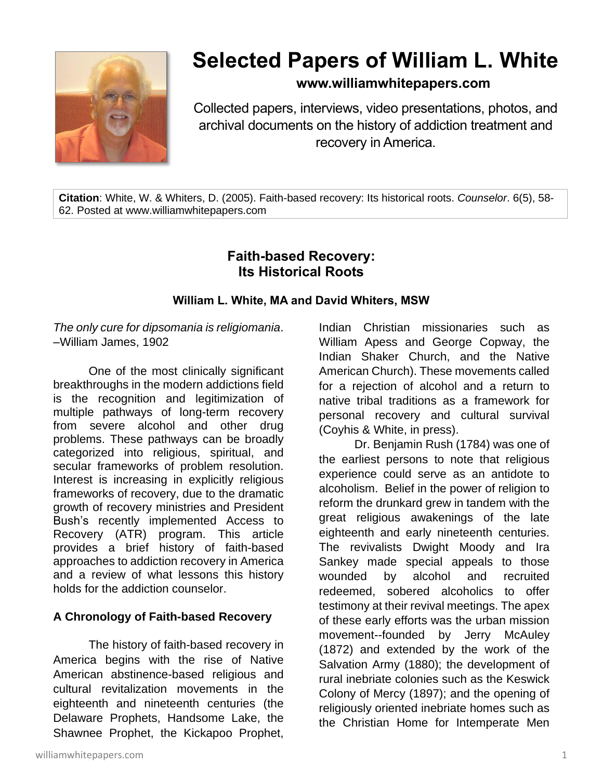

# **Selected Papers of William L. White**

### **www.williamwhitepapers.com**

Collected papers, interviews, video presentations, photos, and archival documents on the history of addiction treatment and recovery in America.

**Citation**: White, W. & Whiters, D. (2005). Faith-based recovery: Its historical roots. *Counselor*. 6(5), 58- 62. Posted at www.williamwhitepapers.com

## **Faith-based Recovery: Its Historical Roots**

#### **William L. White, MA and David Whiters, MSW**

*The only cure for dipsomania is religiomania*. –William James, 1902

One of the most clinically significant breakthroughs in the modern addictions field is the recognition and legitimization of multiple pathways of long-term recovery from severe alcohol and other drug problems. These pathways can be broadly categorized into religious, spiritual, and secular frameworks of problem resolution. Interest is increasing in explicitly religious frameworks of recovery, due to the dramatic growth of recovery ministries and President Bush's recently implemented Access to Recovery (ATR) program. This article provides a brief history of faith-based approaches to addiction recovery in America and a review of what lessons this history holds for the addiction counselor.

#### **A Chronology of Faith-based Recovery**

The history of faith-based recovery in America begins with the rise of Native American abstinence-based religious and cultural revitalization movements in the eighteenth and nineteenth centuries (the Delaware Prophets, Handsome Lake, the Shawnee Prophet, the Kickapoo Prophet,

Indian Christian missionaries such as William Apess and George Copway, the Indian Shaker Church, and the Native American Church). These movements called for a rejection of alcohol and a return to native tribal traditions as a framework for personal recovery and cultural survival (Coyhis & White, in press).

Dr. Benjamin Rush (1784) was one of the earliest persons to note that religious experience could serve as an antidote to alcoholism. Belief in the power of religion to reform the drunkard grew in tandem with the great religious awakenings of the late eighteenth and early nineteenth centuries. The revivalists Dwight Moody and Ira Sankey made special appeals to those wounded by alcohol and recruited redeemed, sobered alcoholics to offer testimony at their revival meetings. The apex of these early efforts was the urban mission movement--founded by Jerry McAuley (1872) and extended by the work of the Salvation Army (1880); the development of rural inebriate colonies such as the Keswick Colony of Mercy (1897); and the opening of religiously oriented inebriate homes such as the Christian Home for Intemperate Men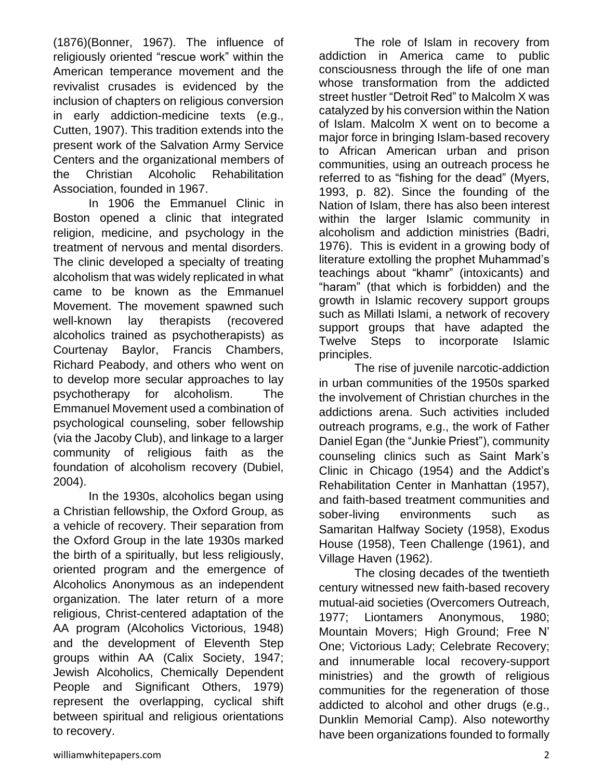(1876)(Bonner, 1967). The influence of religiously oriented "rescue work" within the American temperance movement and the revivalist crusades is evidenced by the inclusion of chapters on religious conversion in early addiction-medicine texts (e.g., Cutten, 1907). This tradition extends into the present work of the Salvation Army Service Centers and the organizational members of the Christian Alcoholic Rehabilitation Association, founded in 1967.

In 1906 the Emmanuel Clinic in Boston opened a clinic that integrated religion, medicine, and psychology in the treatment of nervous and mental disorders. The clinic developed a specialty of treating alcoholism that was widely replicated in what came to be known as the Emmanuel Movement. The movement spawned such well-known lay therapists (recovered alcoholics trained as psychotherapists) as Courtenay Baylor, Francis Chambers, Richard Peabody, and others who went on to develop more secular approaches to lay psychotherapy for alcoholism. The Emmanuel Movement used a combination of psychological counseling, sober fellowship (via the Jacoby Club), and linkage to a larger community of religious faith as the foundation of alcoholism recovery (Dubiel, 2004).

In the 1930s, alcoholics began using a Christian fellowship, the Oxford Group, as a vehicle of recovery. Their separation from the Oxford Group in the late 1930s marked the birth of a spiritually, but less religiously, oriented program and the emergence of Alcoholics Anonymous as an independent organization. The later return of a more religious, Christ-centered adaptation of the AA program (Alcoholics Victorious, 1948) and the development of Eleventh Step groups within AA (Calix Society, 1947; Jewish Alcoholics, Chemically Dependent People and Significant Others, 1979) represent the overlapping, cyclical shift between spiritual and religious orientations to recovery.

The role of Islam in recovery from addiction in America came to public consciousness through the life of one man whose transformation from the addicted street hustler "Detroit Red" to Malcolm X was catalyzed by his conversion within the Nation of Islam. Malcolm X went on to become a major force in bringing Islam-based recovery to African American urban and prison communities, using an outreach process he referred to as "fishing for the dead" (Myers, 1993, p. 82). Since the founding of the Nation of Islam, there has also been interest within the larger Islamic community in alcoholism and addiction ministries (Badri, 1976). This is evident in a growing body of literature extolling the prophet Muhammad's teachings about "khamr" (intoxicants) and "haram" (that which is forbidden) and the growth in Islamic recovery support groups such as Millati Islami, a network of recovery support groups that have adapted the Twelve Steps to incorporate Islamic principles.

The rise of juvenile narcotic-addiction in urban communities of the 1950s sparked the involvement of Christian churches in the addictions arena. Such activities included outreach programs, e.g., the work of Father Daniel Egan (the "Junkie Priest"), community counseling clinics such as Saint Mark's Clinic in Chicago (1954) and the Addict's Rehabilitation Center in Manhattan (1957), and faith-based treatment communities and sober-living environments such as Samaritan Halfway Society (1958), Exodus House (1958), Teen Challenge (1961), and Village Haven (1962).

The closing decades of the twentieth century witnessed new faith-based recovery mutual-aid societies (Overcomers Outreach, 1977; Liontamers Anonymous, 1980; Mountain Movers; High Ground; Free N' One; Victorious Lady; Celebrate Recovery; and innumerable local recovery-support ministries) and the growth of religious communities for the regeneration of those addicted to alcohol and other drugs (e.g., Dunklin Memorial Camp). Also noteworthy have been organizations founded to formally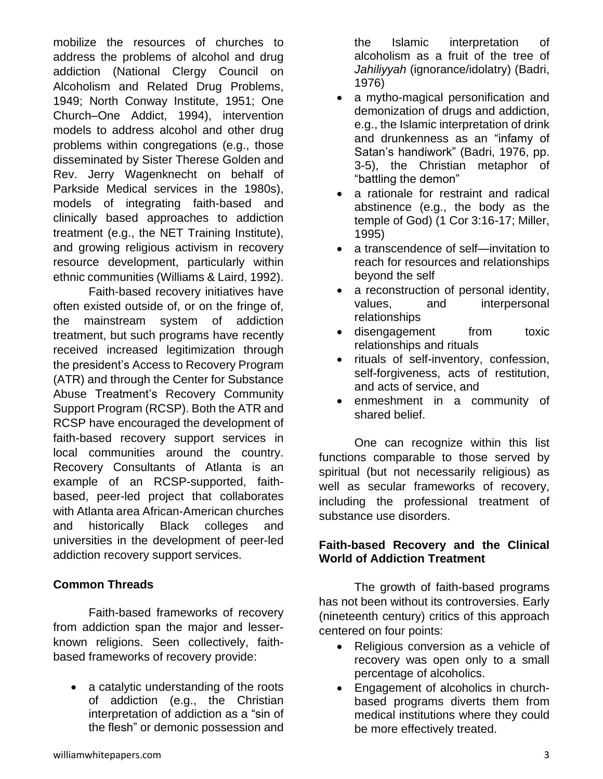mobilize the resources of churches to address the problems of alcohol and drug addiction (National Clergy Council on Alcoholism and Related Drug Problems, 1949; North Conway Institute, 1951; One Church–One Addict, 1994), intervention models to address alcohol and other drug problems within congregations (e.g., those disseminated by Sister Therese Golden and Rev. Jerry Wagenknecht on behalf of Parkside Medical services in the 1980s), models of integrating faith-based and clinically based approaches to addiction treatment (e.g., the NET Training Institute), and growing religious activism in recovery resource development, particularly within ethnic communities (Williams & Laird, 1992).

Faith-based recovery initiatives have often existed outside of, or on the fringe of, the mainstream system of addiction treatment, but such programs have recently received increased legitimization through the president's Access to Recovery Program (ATR) and through the Center for Substance Abuse Treatment's Recovery Community Support Program (RCSP). Both the ATR and RCSP have encouraged the development of faith-based recovery support services in local communities around the country. Recovery Consultants of Atlanta is an example of an RCSP-supported, faithbased, peer-led project that collaborates with Atlanta area African-American churches and historically Black colleges and universities in the development of peer-led addiction recovery support services.

#### **Common Threads**

Faith-based frameworks of recovery from addiction span the major and lesserknown religions. Seen collectively, faithbased frameworks of recovery provide:

• a catalytic understanding of the roots of addiction (e.g., the Christian interpretation of addiction as a "sin of the flesh" or demonic possession and the Islamic interpretation of alcoholism as a fruit of the tree of *Jahiliyyah* (ignorance/idolatry) (Badri, 1976)

- a mytho-magical personification and demonization of drugs and addiction, e.g., the Islamic interpretation of drink and drunkenness as an "infamy of Satan's handiwork" (Badri, 1976, pp. 3-5), the Christian metaphor of "battling the demon"
- a rationale for restraint and radical abstinence (e.g., the body as the temple of God) (1 Cor 3:16-17; Miller, 1995)
- a transcendence of self—invitation to reach for resources and relationships beyond the self
- a reconstruction of personal identity, values, and interpersonal relationships
- disengagement from toxic relationships and rituals
- rituals of self-inventory, confession, self-forgiveness, acts of restitution, and acts of service, and
- enmeshment in a community of shared belief.

One can recognize within this list functions comparable to those served by spiritual (but not necessarily religious) as well as secular frameworks of recovery, including the professional treatment of substance use disorders.

#### **Faith-based Recovery and the Clinical World of Addiction Treatment**

The growth of faith-based programs has not been without its controversies. Early (nineteenth century) critics of this approach centered on four points:

- Religious conversion as a vehicle of recovery was open only to a small percentage of alcoholics.
- Engagement of alcoholics in churchbased programs diverts them from medical institutions where they could be more effectively treated.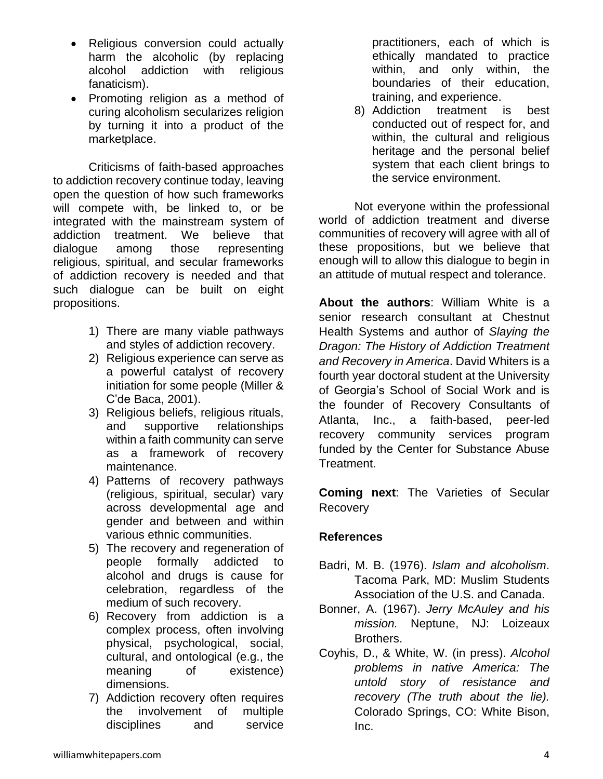- Religious conversion could actually harm the alcoholic (by replacing alcohol addiction with religious fanaticism).
- Promoting religion as a method of curing alcoholism secularizes religion by turning it into a product of the marketplace.

Criticisms of faith-based approaches to addiction recovery continue today, leaving open the question of how such frameworks will compete with, be linked to, or be integrated with the mainstream system of addiction treatment. We believe that dialogue among those representing religious, spiritual, and secular frameworks of addiction recovery is needed and that such dialogue can be built on eight propositions.

- 1) There are many viable pathways and styles of addiction recovery.
- 2) Religious experience can serve as a powerful catalyst of recovery initiation for some people (Miller & C'de Baca, 2001).
- 3) Religious beliefs, religious rituals, and supportive relationships within a faith community can serve as a framework of recovery maintenance.
- 4) Patterns of recovery pathways (religious, spiritual, secular) vary across developmental age and gender and between and within various ethnic communities.
- 5) The recovery and regeneration of people formally addicted to alcohol and drugs is cause for celebration, regardless of the medium of such recovery.
- 6) Recovery from addiction is a complex process, often involving physical, psychological, social, cultural, and ontological (e.g., the meaning of existence) dimensions.
- 7) Addiction recovery often requires the involvement of multiple disciplines and service

practitioners, each of which is ethically mandated to practice within, and only within, the boundaries of their education, training, and experience.

8) Addiction treatment is best conducted out of respect for, and within, the cultural and religious heritage and the personal belief system that each client brings to the service environment.

Not everyone within the professional world of addiction treatment and diverse communities of recovery will agree with all of these propositions, but we believe that enough will to allow this dialogue to begin in an attitude of mutual respect and tolerance.

**About the authors**: William White is a senior research consultant at Chestnut Health Systems and author of *Slaying the Dragon: The History of Addiction Treatment and Recovery in America*. David Whiters is a fourth year doctoral student at the University of Georgia's School of Social Work and is the founder of Recovery Consultants of Atlanta, Inc., a faith-based, peer-led recovery community services program funded by the Center for Substance Abuse Treatment.

**Coming next**: The Varieties of Secular Recovery

#### **References**

- Badri, M. B. (1976). *Islam and alcoholism*. Tacoma Park, MD: Muslim Students Association of the U.S. and Canada.
- Bonner, A. (1967). *Jerry McAuley and his mission.* Neptune, NJ: Loizeaux Brothers.
- Coyhis, D., & White, W. (in press). *Alcohol problems in native America: The untold story of resistance and recovery (The truth about the lie).* Colorado Springs, CO: White Bison, Inc.